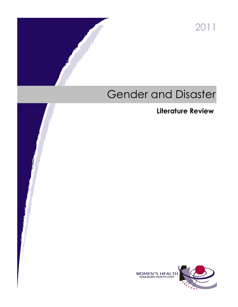2011

# Gender and Disaster

## **Literature Review**

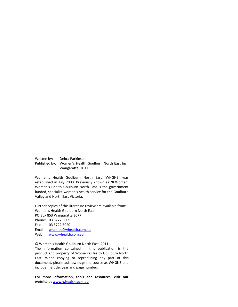Written by: Debra Parkinson Published by: Women's Health Goulburn North East Inc., Wangaratta, 2011

Women's Health Goulburn North East (WHGNE) was established in July 2000. Previously known as NEWomen, Women's Health Goulburn North East is the government funded, specialist women's health service for the Goulburn Valley and North East Victoria.

Further copies of this literature review are available from: Women's Health Goulburn North East PO Box 853 Wangaratta 3677 Phone: 03 5722 3009 Fax: 03 5722 3020 Email: [whealth@whealth.com.au](mailto:whealth@whealth.com.au) Web: [www.whealth.com.au](http://www.whealth.com.au/)

#### © Women's Health Goulburn North East, 2011 The information contained in this publication is the product and property of Women's Health Goulburn North East. When copying or reproducing any part of this document, please acknowledge the source as WHGNE and include the title, year and page number.

**For more information, tools and resources, visit our website a[t www.whealth.com.au](http://www.whealth.com.au/)**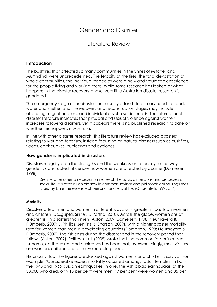### Gender and Disaster

Literature Review

#### Introduction

The bushfires that affected so many communities in the Shires of Mitchell and Murrindindi were unprecedented. The ferocity of the fires, the total devastation of whole communities, the individual tragedies were a new and traumatic experience for the people living and working there. While some research has looked at what happens in the disaster recovery phase, very little Australian disaster research is gendered.

The emergency stage after disasters necessarily attends to primary needs of food, water and shelter, and the recovery and reconstruction stages may include attending to grief and loss, and individual psycho-social needs. The international disaster literature indicates that physical and sexual violence against women increases following disasters, yet it appears there is no published research to date on whether this happens in Australia.

In line with other disaster research, this literature review has excluded disasters relating to war and terrorism, instead focussing on natural disasters such as bushfires, floods, earthquakes, hurricanes and cyclones.

#### How gender is implicated in disasters

Disasters magnify both the strengths and the weaknesses in society so the way gender is constructed influences how women are affected by disaster (Domeisen, 1998).

Disaster phenomena necessarily involve all the basic dimensions and processes of social life. It is after all an old saw in common sayings and philosophical musings that crises lay bare the essence of personal and social life. (Quarantelli, 1994, p. 4)

#### **Mortality**

Disasters affect men and women in different ways, with greater impacts on women and children (Dasgupta, Siriner, & Partha, 2010). Across the globe, women are at greater risk in disasters than men (Alston, 2009; Domeisen, 1998; Neumayera & Plümperb, 2007; B. Phillips, Jenkins, & Enarson, 2009), with a higher disaster mortality rate for women than men in developing countries (Domeisen, 1998; Neumayera & Plümperb, 2007). The risk exists during the disaster and in the recovery period that follows (Alston, 2009). Phillips, et al. (2009) wrote that the common factor in recent tsunamis, earthquakes, and hurricanes has been that, overwhelmingly, most victims are women, children and other vulnerable groups.

Historically, too, the figures are stacked against women's and children's survival. For example, 'Considerable excess mortality occurred amongst adult females' in both the 1948 and 1966 Russian earthquakes. In one, the Ashkabad earthquake, of the 33,000 who died, only 18 per cent were men: 47 per cent were women and 35 per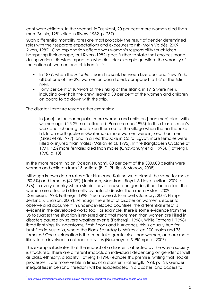cent were children. In the second, in Tashkent, 20 per cent more women died than men (Beinin, 1981 cited in Rivers, 1982, p. 257).

Such differential mortality rates are most probably the result of gender determined roles with their separate expectations and exposures to risk (Molin Valdés, 2009; Rivers, 1982). One explanation offered was women's responsibility for children hampering their escape, but Rivers (1982) goes further to state that choices made during various disasters impact on who dies. Her example questions the veracity of the notion of 'women and children first':

- In 1879, when the Atlantic steamship sank between Liverpool and New York, all but one of the 295 women on board died, compared to 187 of the 636 men.
- Forty per cent of survivors of the sinking of the Titanic in 1912 were men, including over half the crew, leaving 30 per cent of the women and children on board to go down with the ship.

The disaster literature reveals other examples:

In [one] Indian earthquake, more women and children [than men] died, with women aged 25-29 most affected (Parasuraman 1995). In this disaster, men's work and schooling had taken them out of the village when the earthquake hit. In an earthquake in Guatemala, more women were injured than men (Glass et al. 1977), and in an earthquake in Cairo, Egypt, more females were killed or injured than males (Malilay et al. 1995). In the Bangladesh Cyclone of 1991, 42% more females died than males (Chowdhury et al. 1993). (Fothergill, 1998, p. 18)

In the more recent Indian Ocean Tsunami, 80 per cent of the 300,000 deaths were women and children from 13 nations (B. D. Phillips & Morrow, 2008).

Although known death rates after Hurricane Katrina were almost the same for males (50.6%) and females (49.3%) (Jonkman, Maaskant, Boyd, & Lloyd Levitan, 2009, p. 696), in every country where studies have focused on gender, it has been clear that women are affected differently by natural disaster than men (Alston, 2009; Domeisen, 1998; Fothergill, 1998; Neumayera & Plümperb, January, 2007; Phillips, Jenkins, & Enarson, 2009). Although the effect of disaster on women is easier to observe and document in under-developed countries, the differential effect is evident in the developed world too. For example, there is some evidence from the US to suggest the situation is reversed and that more men than women are killed in disasters caused by severe weather events (Fothergill, 1998). While Fothergill (1998) listed lightning, thunderstorms, flash floods and hurricanes, this is equally true for bushfires in Australia, where the Black Saturday bushfires killed 100 males and 73 females.<sup>1</sup> One explanation is that men take greater risks than women, and are more likely to be involved in outdoor activities (Neumayera & Plümperb, 2007).

This example illustrates that the impact of a disaster is affected by the way a society is structured. There are different impacts on individuals depending on gender as well as class, ethnicity, disability. Fothergill (1998) echoes this premise, writing that 'social processes ... are more visible in times of a disaster' (Fothergill, 1998, p. 12). Gender inequalities in personal freedom will be exacerbated in a disaster, and access to

֦

<sup>1</sup> http://royalcommission.vic.gov.au/commission-reports/final-report/volume-1/chapters/the-people-who-died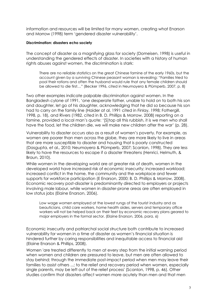information and resources will be limited for many women, creating what Enarson and Morrow (1998) term 'gendered disaster vulnerability'.

#### Discrimination: disasters echo society

The concept of disaster as a magnifying glass for society (Domeisen, 1998) is useful in understanding the gendered effects of disaster. In societies with a history of human rights abuses against women, the discrimination is stark:

There are no reliable statistics on the great Chinese famine of the early 1960s, but the account given by a surviving Chinese peasant woman is revealing: "Families tried to pool their rations and often the husband would rule that any female children should be allowed to die first…" (Becker 1996, cited in Neumayera & Plümperb, 2007, p. 8)

Two other examples indicate palpable discrimination against women. In the Bangladesh cylone of 1991, 'one desperate father, unable to hold on to both his son and daughter, let go of his daughter, acknowledging that he did so because his son had to carry on the family line (Haider at al, 1991 cited in Finlay, 1998; Fothergill, 1998, p. 18), and Rivers (1982, cited in B. D. Phillips & Morrow, 2008) reporting on a famine, provided a local man's quote: '[S]top all this rubbish, it is we men who shall have the food, let the children die, we will make new children after the war' (p. 28).

Vulnerability to disaster occurs also as a result of women's poverty. For example, as women are poorer than men across the globe, they are more likely to live in areas that are more susceptible to disaster and housing that is poorly constructed (Dasgupta, et al., 2010; Neumayera & Plümperb, 2007; Scanlon, 1998). They are less likely to have the resources to escape if a disaster threatens (Henrici, Helmuth, & Braun, 2010).

While women in the developing world are at greater risk of death, women in the developed world have increased risk of economic insecurity; increased workload; increased conflict in the home, the community and the workplace and fewer supports for workforce participation (E Enarson, 2000; B. D. Phillips & Morrow, 2008). Economic recovery post-disaster is predominantly directed to employers or projects involving male labour, while women in disaster-prone areas are often employed in low status jobs (Elaine Enarson, 2006).

Low wage women employed at the lowest rungs of the tourist industry and as beauticians, child care workers, home health aides, servers and temporary office workers will not be helped back on their feet by economic recovery plans geared to major employers in the formal sector. (Elaine Enarson, 2006, para. 6)

Economic insecurity and patriarchal social structure both contribute to increased vulnerability for women in a time of disaster as women's financial situation is hindered further by caring responsibilities and inequitable access to financial aid (Elaine Enarson & Phillips, 2008).

Women 'are treated differently to men at every step from the initial warning period when women and children are pressured to leave, but men are often allowed to stay behind; through the immediate post-impact period when men may leave their families to assist others ...; to the relief and recovery period when women, especially single parents, may be left out of the relief process' (Scanlon, 1998, p. 46). Other studies confirm that disasters affect women more acutely than men and that men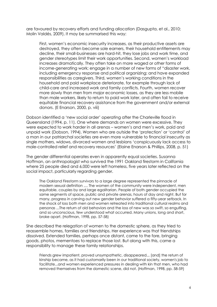are favoured by recovery efforts and funding allocation (Dasgupta, et al., 2010; Molin Valdés, 2009). It may be summarised this way:

First, women's economic insecurity increases, as their productive assets are destroyed, they often become sole earners, their household entitlements may decline, their small-businesses are hard-hit, they lose jobs and work time, and gender stereotypes limit their work opportunities. Second, women's workload increases dramatically. They often take on more waged or other forms of income-generating work; engage in a number of new forms of "disaster work, including emergency response and political organizing; and have expanded responsibilities as caregivers. Third, women's working conditions in the household and paid workplace deteriorate, for example through lack of child-care and increased work and family conflicts. Fourth, women recover more slowly than men from major economic losses, as they are less mobile than male workers, likely to return to paid work later, and often fail to receive equitable financial recovery assistance from the government and/or external donors. (E Enarson, 2000, p. viii)

Dobson identified a 'new social order' operating after the Charleville flood in Queensland (1994, p. 11). One where demands on women were excessive. They were expected to work harder in all arenas – women's and men's work, paid and unpaid work (Dobson, 1994). Women who are outside the 'protection' or 'control' of a man in our patriarchal societies are even more vulnerable to financial insecurity as single mothers, widows, divorced women and lesbians 'conspicuously lack access to male-controlled relief and recovery resources' (Elaine Enarson & Phillips, 2008, p. 51)

The gender differential operates even in apparently equal societies. Susanna Hoffman, an anthropologist who survived the 1991 Oakland firestorm in California where 25 people died and 6,000 were left homeless, five years later reflected on the social impact, particularly regarding gender.

The Oakland Firestorm survivors to a large degree represented the pinnacle of modern sexual definition .... The women of the community were independent, men equitable, couples by and large egalitarian. People of both gender occupied the same segments of space, public and private arenas, hours of day and night. But for many, progress in carving out new gender behavior suffered a fifty-year setback. In the shock of loss both men and women retreated into traditional cultural realms and personas ...The return of old behaviors and the loss of new was so swift, so engulfing, and so unconscious, few understood what occurred. Many unions, long and short, broke apart. (Hoffman, 1998, pp. 57-58)

She described the relegation of women to the domestic sphere, as they tried to reassemble homes, families and friendships. Her experience was that friendships dissolved. Extended families, perhaps once distant, came to the fore, bringing goods, photos, mementoes to replace those lost. But along with this, came a responsibility to manage these family relationships.

Friends grew impatient, proved unsympathetic, disappeared... [and] the return of kinship became, as it had customarily been in our traditional society, women's job to facilitate...and women experienced pressures in dealing with kin that men, who had removed themselves from the domestic scene, did not. (Hoffman, 1998, pp. 58-59)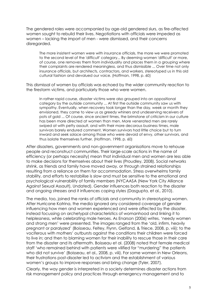The gendered roles were accompanied by age-old gendered slurs, as fire-affected women sought to rebuild their lives. Negotiations with officials were impeded as women – lacking the import of men - were dismissed, and their concerns disregarded.

The more insistent women were with insurance officials, the more we were promoted to the second level of the 'difficult' category... By deeming women 'difficult' or more, of course, one removes them from individuality and places them in a grouping where their complaints are rendered meaningless, and thus dismissible ... Over time not only insurance officials, but architects, contractors, and workers, stereotyped us in this old cultural fashion and devalued our voice. (Hoffman, 1998, p. 60)

This dismissal of women by officials was echoed by the wider community reaction to the firestorm victims, and particularly those who were women.

In rather rapid course, disaster victims were also grouped into an oppositional category by the outside community ... At first the outside community saw us with sympathy. Eventually, when recovery took longer than the day, week or month they envisioned, they came to view us as greedy whiners and undeserving receivers of pots of gold ... Of course, since ancient times, the brimstone of criticism in our culture has been more directed at women than men. More venerated men are rarely swiped at with petty assault, and with their more decorous business times, male survivors barely endured comment. Women survivors had little choice but to turn inward and seek solace among those who were devoid of envy, other survivors, and thus isolate themselves further. (Hoffman, 1998, p. 60)

After disasters, governments and non-government organisations move to rehouse people and reconstruct communities. Their large-scale actions in the name of efficiency (or perhaps necessity) mean that individual men and women are less able to make decisions for themselves about their lives (Proudley, 2008). Social networks shrink, as friends and family have moved away, or through strained relationships resulting from a reliance on them for accommodation. Stress overwhelms family stability, and efforts to restabilise is slow and must be sensitive to the emotional and psychological vulnerability of family members (NYCAASA (New York City Alliance Against Sexual Assault), Undated). Gender influences both reaction to the disaster and ongoing stresses and it influences coping styles (Dasgupta, et al., 2010).

The media, too, joined the ranks of officials and community in stereotyping women. After Hurricane Katrina, the media ignored any considered coverage of gender influencing how men and women experienced and were affected by the disaster, instead focussing on archetypal characteristics of womanhood and linking it to helplessness, while celebrating male heroes. As Enarson (2006) writes, 'needy women and strong men' were presented. The images ranged from the 'old, infirm, heavily pregnant or paralyzed' (Boisseau, Feltey, Flynn, Gelfand, & Triece, 2008, p. viii); to the vociferous with mothers' outbursts against the conditions their children were forced to live in; and then to blaming women for their inability to rescue those in their care from the disaster and its aftermath. Boisseau et al. (2008) noted that female medical staff 'who remained behind with patients were vilified for "murdering" the patients who did not survive' (Boisseau, et al., 2008, p. viii). For some women in New Orleans, their frustrations post-disaster led to activism and the establishment of various women's groups to improve responses and bring change (Tyler, 2007).

Clearly, the way gender is interpreted in a society determines disaster actions from risk management policy and practices through emergency management and to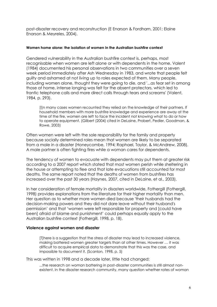post-disaster recovery and reconstruction (E Enarson & Fordham, 2001; Elaine Enarson & Meyreles, 2004).

#### Women home alone: the isolation of women in the Australian bushfire context

Gendered vulnerability in the Australian bushfire context is, perhaps, most recognisable when women are left alone or with dependents in the home. Valent (1984) documented his personal observations in two communities over a seven week period immediately after Ash Wednesday in 1983, and wrote that people felt guilty and ashamed at not living up to roles expected of them. Many people, including women alone, thought they were going to die, and '...as fear set in among those at home, intense longing was felt for the absent protectors, which led to frantic telephone calls and more direct calls through tears and screams' (Valent, 1984, p. 293).

[I]n many cases women recounted they relied on the knowledge of their partners. If household members with more bushfire knowledge and experience are away at the time of the fire, women are left to face the incident not knowing what to do or how to operate equipment. (Gilbert (2004) cited in DeLaine, Probert, Pedler, Goodman, & Rowe, 2003)

Often women were left with the sole responsibility for the family and property because socially determined roles mean that women are likely to be separated from a male in a disaster (Honeycombe, 1994; Raphael, Taylor, & McAndrew, 2008). A male partner is often fighting fires while a woman cares for dependents.

The tendency of women to evacuate with dependents may put them at greater risk according to a 2007 report which stated that most women perish while sheltering in the house or attempting to flee and that late evacuations still accounted for most deaths. The same report noted that the deaths of women from bushfires has increased over the past 30 years (Haynes, 2007, cited in DeLaine, et al., 2003).

In her consideration of female mortality in disasters worldwide, Fothergill (Fothergill, 1998) provides explanations from the literature for their higher mortality than men. Her question as to whether more women died because 'their husbands had the decision-making powers and they did not dare leave without their husband's permission' and that 'women were left responsible for property and [could have been] afraid of blame and punishment' could perhaps equally apply to the Australian bushfire context (Fothergill, 1998, p. 18).

#### Violence against women and disaster

[T]here is a suggestion that the stress of disaster may lead to increased violence, making battered women greater targets than at other times. However … it was difficult to acquire empirical data to demonstrate that this was the case, and impossible to document it. (Scanlon, 1998, p. 5)

This was written in 1998 and a decade later, little had changed:

...the research on woman battering in post-disaster communities is still almost nonexistent. In the disaster research community, many question whether rates of woman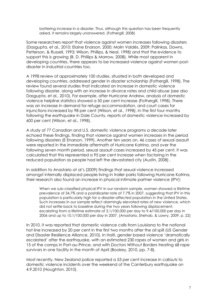battering increase in a disaster. Thus, although this question has been frequently asked, it remains largely unanswered. (Fothergill, 2008)

Some researchers report that violence against women increases following disasters (Dasgupta, et al., 2010; Elaine Enarson, 2000; Molin Valdés, 2009; Palinkas, Downs, Petterson, & Russell, 1993; Wilson, Phillips, & Neal, 1998) and that the evidence to support this is growing (B. D. Phillips & Morrow, 2008). While most apparent in developing countries, there appears to be increased violence against women postdisaster in industrial countries too.

A 1998 review of approximately 100 studies, situated in both developed and developing countries, addressed gender in disaster scholarship (Fothergill, 1998). The review found several studies that indicated an increase in domestic violence following disaster, along with an increase in divorce rates and child abuse (see also Dasgupta, et al., 2010). For example, after Hurricane Andrew, analysis of domestic violence helpline statistics showed a 50 per cent increase (Fothergill, 1998). There was an increase in demand for refuge accommodation, and court cases for injunctions increased by 98 per cent (Wilson, et al., 1998). In the first four months following the earthquake in Dale County, reports of domestic violence increased by 600 per cent (Wilson, et al., 1998).

A study of 77 Canadian and U.S. domestic violence programs a decade later echoed these findings, finding that violence against women increases in the period following disasters (E Enarson, 1999). Another ten years on, 46 cases of sexual assault were reported in the immediate aftermath of Hurricane Katrina, and over the following seven month period, sexual assault cases increased by 45 per cent. It was calculated that this represented a 95 per cent increase when factoring in the reduced population as people had left the devastated city (Austin, 2008) .

In addition to Anastario at al's (2009) findings that sexual violence increased amongst internally displaced people living in trailer parks following Hurricane Katrina, their research also found an increase in physical intimate partner violence (IPV):

When we sub-classified physical IPV in our random sample, women showed a lifetime prevalence of 34.7% and a postdisaster rate of 7.7% in 2007, suggesting that IPV in this population is particularly high for a disaster-affected population in the United States. Such increases in our sample reflect alarmingly elevated rates of new violence, which did not settle back to baseline during the two years following displacement, escalating from a lifetime estimate of 3.1/100,000 per day to 9.4/100,000 per day in 2006 and up to 10.1/100,000 per day in 2007. (Anastario, Shehab, & Lawry, 2009, p. 22)

In 2010, it was reported that domestic violence calls from Louisiana to the national hot line increased by 20 per cent in the first two months after the oil spill (US Gender and Disaster Resilience Alliance, 2010). In Haiti, gender based violence 'dramatically escalated' after the earthquake, with an estimated 230 rapes of women and girls in 15 of the camps in Port-au-Prince, and with Doctors Without Borders treating 68 rape survivors in one facility in the month of April (Bookey, 2010, pp. 7-8).

Most recently, New Zealand police reported a 53 per cent increase in callouts to domestic violence incidents over the weekend of the Canterbury earthquake on 4.9.2010 (Houghton, 2010).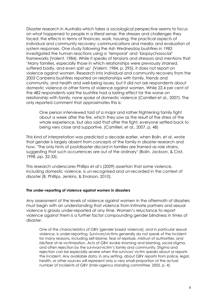Disaster research in Australia which takes a sociological perspective seems to focus on what happened to people in a literal sense; the stresses and challenges they faced; the effects in terms of finances, work, housing; the practical aspects of individual and community recovery; communications and media; and evaluation of system responses. One study following the Ash Wednesday bushfires in 1983 investigated the human reactions using a 'temporal' and 'biopsychosocial' frameworks (Valent, 1984). While it speaks of tensions and stressors and mentions that 'Many families, especially those in which relationships were previously strained, suffered badly, and even split up' (Valent, 1984, p. 295), it does not report on violence against women. Research into individual and community recovery from the 2003 Canberra bushfires reported on relationships with family, friends and community, and health and well-being issues, but it did not ask respondents about domestic violence or other forms of violence against women. While 22.4 per cent of the 482 respondents said the bushfire had a lasting effect for the worse on relationship with family, none spoke of domestic violence (Camilleri et al., 2007). The only reported comment that approximates this is:

One person interviewed told of a major and rather frightening family fight about a week after the fire, which they saw as the result of the stress of the whole experience, but also said that after the fight, everyone settled back to being very close and supportive. (Camilleri, et al., 2007, p. 48)

This kind of interpretation was predicted a decade earlier, when Bolin, et al. wrote that gender is largely absent from concepts of the family in disaster research and how, 'The only hints of postdisaster discord in families are framed as role strains, suggesting that such occurrences are out of the ordinary' (Bolin, Jackson, & Crist, 1998, pp. 32-33).

This research underscores Phillips et al's (2009) assertion that some violence, including domestic violence, is un-recognised and un-recorded in the context of disaster (B. Phillips, Jenkins, & Enarson, 2010).

#### The under-reporting of violence against women in disasters

Any assessment of the levels of violence against women in the aftermath of disasters must begin with an understanding that violence from intimate partners and sexual violence is grossly under-reported at any time. Women's reluctance to report violence against them is a further factor compounding gender blindness in times of disaster.

One of the characteristics of GBV [gender based violence], and in particular sexual violence, is under-reporting. Survivors/victims generally do not speak of the incident for many reasons, including self-blame, fear of reprisals, mistrust of authorities, and risk/fear of re-victimization. Acts of GBV evoke shaming and blaming, social stigma, and often rejection by the survivor/victim's family and community. Stigma and rejection can be especially severe when the survivor/ victim speaks about or reports the incident. Any available data, in any setting, about GBV reports from police, legal, health, or other sources will represent only a very small proportion of the actual number of incidents of GBV (Inter-agency standing committee, 2005, p. 4).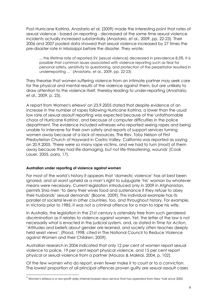Post-Hurricane Katrina, Anastario et al. (2009) made the interesting point that rates of sexual violence - based on reporting - decreased at the same time sexual violence incidents actually increased substantially (Anastario, et al., 2009, pp. 22-23). Their 2006 and 2007 pooled data showed that sexual violence increased by 27 times the pre-disaster rate in Mississippi before the disaster. They wrote:

... the lifetime rate of reported SV [sexual violence] decreased in prevalence 8.5%. It is possible that common issues associated with violence reporting such as fear for personal safety, sensitivity to questioning, and protection of the perpetrator resulted in underreporting ... ' (Anastario, et al., 2009, pp. 22-23)

They theorise that women suffering violence from an intimate partner may seek care for the physical and mental results of the violence against them, but are unlikely to draw attention to the violence itself, thereby leading to under-reporting (Anastario, et al., 2009, p. 23).

A report from Women's eNews<sup>2</sup> on 23.9.2005 stated that despite evidence of an increase in the number of rapes following Hurricane Katrina, a lower than the usual low rate of sexual assault reporting was expected because of the 'unfathomable chaos of Hurricane Katrina', and because of computer difficulties in the police department. The evidence included witnesses who reported seeing rapes and being unable to intervene for their own safety and reports of support services turning women away because of a lack of resources. The Rev. Toby Nelson of First Presbyterian Church of Hayward in Castro Valley, California was reported as saying on 20.9.2005, 'There were so many rape victims, and we had to turn (most) of them away because they had life-damaging, but not life-threatening, wounds' (Cook Lauer, 2005, para. 17).

#### Australian under reporting of violence against women

֦

For most of the world's history it appears that 'domestic violence' has at best been ignored, and at worst upheld as a man's right to subjugate 'his' woman by whatever means were necessary. Current legislation introduced only in 2009 in Afghanistan, permits Shia men 'to deny their wives food and sustenance if they refuse to obey their husbands' sexual demands' (Boone, 2009). This individual example has its parallel at societal level in other countries, too, and throughout history. For example, in Victoria prior to 1985, it was not a criminal offence for a man to rape his wife.

In Australia, the legislation in the 21st century is ostensibly free from such gendered discrimination as it relates to violence against women. Yet, the letter of the law is not necessarily what is enacted in the judicial system, and, as stated in Time for Action, 'Attitudes and beliefs about gender are learned, and society often teaches deeply held sexist views'. (Flood, 1998, cited in The National Council to Reduce Violence against Women and their Children, 2009).

Australian research in 2004 indicated that only 12 per cent of women report sexual violence to police, 19 per cent report physical violence, and 15 per cent report physical or sexual violence from a partner (Mouzos & Makkai, 2004, p. 102).

Of the few women who do report, even fewer make it to court or to a conviction. The lowest proportion of all principal offences proven guilty are sexual assault cases

 $2$  Women's eNews is a non-profit daily Internet-based news service that has operated from New York since 2000.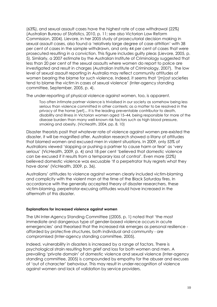(63%), and sexual assault cases have the highest rate of case withdrawal (22%) (Australian Bureau of Statistics, 2010, p. 11; see also Victorian Law Reform Commission, 2004). Lievore, in her 2005 study of prosecutorial decision making in sexual assault cases, also found a 'relatively large degree of case attrition' with 38 per cent of cases in the sample withdrawn, and only 44 per cent of cases that were prosecuted resulting in a conviction. This figure includes guilty pleas (Lievore, 2005, p. 5). Similarly, a 2007 estimate by the Australian Institute of Criminology suggested that less than 20 per cent of the sexual assaults where women do report to police are investigated and result in charges (Australian Institute of Criminology, 2007). The low level of sexual assault reporting in Australia may reflect community attitudes of women bearing the blame for such violence. Indeed, it seems that '[m]ost societies tend to blame the victim in cases of sexual violence' (Inter-agency standing committee, September, 2005, p. 4).

The under-reporting of physical violence against women, too, is apparent.

Too often intimate partner violence is trivialised in our society as somehow being less serious than violence committed in other contexts; as a matter to be resolved in the privacy of the home [yet]... It is the leading preventable contributor to death, disability and illness in Victorian women aged 15–44, being responsible for more of the disease burden than many well-known risk factors such as high blood pressure, smoking and obesity. (VicHealth, 2004, pp. 8, 10)

Disaster theorists posit that whatever rate of violence against women pre-existed the disaster, it will be magnified after. Australian research showed a litany of attitudes that blamed women and excused men in violent situations. In 2009, only 53% of Australians viewed 'slapping or pushing a partner to cause harm or fear' as 'very serious' (VicHealth, 2009, p. 4) and 18 per cent 'believed that domestic violence can be excused if it results from a temporary loss of control'. Even more (22%) believed domestic violence was excusable 'If a perpetrator truly regrets what they have done' (VicHealth, 2009, p. 36).

Australians' attitudes to violence against women clearly included victim-blaming and complicity with the violent man at the time of the Black Saturday fires. In accordance with the generally accepted theory of disaster researchers, these victim-blaming, perpetrator-excusing attitudes would have increased in the aftermath of this disaster.

#### Explanations for increased violence against women

The UN Inter-Agency Standing Committee ((2005, p. 1) noted that 'the most immediate and dangerous type of gender-based violence occurs in acute emergencies' and theorised that the increased risk emerges as personal resilience afforded by protective structures, both individual and community - are compromised (Inter-agency standing committee, 2005).

Indeed, vulnerability in disasters is increased by a range of factors. There is psychological strain resulting from grief and loss for both women and men. A prevailing 'private domain' of domestic violence and sexual violence (Inter-agency standing committee, 2005) is compounded by empathy for the abuser and excuses of 'out of character' behaviour. This may result in under-recognition of violence against women and lack of validation by service providers.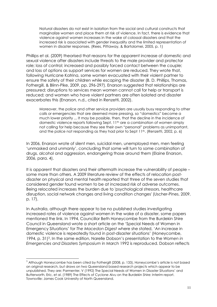Natural disasters do not exist in isolation from the social and cultural constructs that marginalize women and place them at risk of violence. In fact, there is evidence that violence against women increases in the wake of colossal disasters and that the increased risk is associated with gender inequality and the limited representation of women in disaster responses. (Rees, Pittaway, & Bartolomei, 2005, p. 1)

Phillips et al. (2009) theorised that reasons for the apparent increase of domestic and sexual violence after disasters include threats to the male provider and protector role; loss of control; increased and possibly forced contact between the couple; and loss of options as support services for women are reduced. They wrote that, following Hurricane Katrina, some women evacuated with their violent partner to ensure the safety of their children while escaping the disaster (B. D. Phillips, Thomas, Fothergill, & Blinn-Pike, 2009, pp. 296-297). Enarson suggested that relationships are pressured; disruptions to services mean women cannot call for help or transport is reduced; and women who have violent partners are often isolated and disaster exacerbates this (Enarson, n.d., cited in Renzetti, 2002).

Moreover, the police and other service providers are usually busy responding to other calls or emergencies that are deemed more pressing, so "domestics" become a much lower priority ... It may be possible, then, that the decline in the incidence of domestic violence reports following Sept. 11th are a combination of women simply not calling for help because they see their own "personal" problems as unimportant, and the police not responding as they had prior to Sept  $11<sup>th</sup>$ . (Renzetti, 2002, p. 6)

In 2006, Enarson wrote of silent men, suicidal men, unemployed men, men feeling 'unmasked and unmanly', concluding that some will turn to some combination of drugs, alcohol and aggression, endangering those around them (Elaine Enarson, 2006, para. 4).

It is apparent that disasters and their aftermath increase the vulnerability of people – some more than others. A 2009 literature review of the effects of relocation postdisaster on physical and mental health reported that three of the seven studies that considered gender found women to be at increased risk of adverse outcomes. Being relocated increases the burden due to 'psychological stressors, healthcare disruption, social network changes and living condition changes' (Uscher-Pines, 2009, p. 17).

In Australia, although there appear to be no published studies investigating increased rates of violence against women in the wake of a disaster, some papers mentioned the link. In 1994, Councillor Beth Honeycombe from the Burdekin Shire Council in Queensland wrote a short article on the 'Special Needs of Women in Emergency Situations' for The Macedon Digest where she stated, 'An increase in domestic violence is repeatedly found in post-disaster situations' (Honeycombe, 1994, p. 31)<sup>3</sup>. In the same edition, Narelle Dobson's presentation to the Women in Emergencies and Disasters Symposium in March 1992 is reproduced. Dobson reflects

L

 $3$  Although Honeycombe has been cited by Fothergill (2008, p. 133), Honeycombe's article is not based on original research, but draws on two Queensland based research projects which appear to be unpublished. They are: Parmenter, V (1992) The Special Needs of Women in Disaster Situations' and Butterworth, Eric, et al. (1989) The Effects of Cyclone Aivu on the Burdekin Shire: Interim report. Townsville: James Cook University of North Queensland.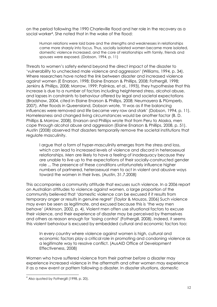on the period following the 1990 Charleville flood and her role in the recovery as a social worker<sup>4</sup> . She noted that in the wake of the flood:

Human relations were laid bare and the strengths and weaknesses in relationships came more sharply into focus. Thus, socially isolated women became more isolated, domestic violence increased, and the core of relationships with family, friends and spouses were exposed. (Dobson, 1994, p. 11)

Threats to women's safety extend beyond the direct impact of the disaster to 'vulnerability to unchecked male violence and aggression' (Williams, 1994, p. 34). Where researchers have noted the link between disaster and increased violence against women (E Enarson, 1998; Elaine Enarson & Phillips, 2008; Fothergill, 1998; Jenkins & Phillips, 2008; Morrow, 1999; Palinkas, et al., 1993), they hypothesise that this increase is due to a number of factors including heightened stress, alcohol abuse, and lapses in constraints to behaviour offered by legal and societal expectations (Bradshaw, 2004, cited in Elaine Enarson & Phillips, 2008; Neumayera & Plümperb, 2007). After floods in Queensland, Dobson wrote, 'It was as if the balancing influences were removed and life became very raw and stark' (Dobson, 1994, p. 11). Homelessness and changed living circumstances would be another factor (B. D. Phillips & Morrow, 2008). Enarson and Phillips wrote that from Peru to Alaska, men cope through alcohol abuse and aggression (Elaine Enarson & Phillips, 2008, p. 51). Austin (2008) observed that disasters temporarily remove the societal institutions that regulate masculinity.

I argue that a form of hyper-masculinity emerges from the stress and loss, which can lead to increased levels of violence and discord in heterosexual relationships. Men are likely to have a feeling of inadequacy because they are unable to live up to the expectations of their socially-constructed gender role ... The presence of these conditions unfortunately influence higher numbers of partnered, heterosexual men to act in violent and abusive ways toward the women in their lives. (Austin, 31.7.2008)

This accompanies a community attitude that excuses such violence. In a 2006 report on Australian attitudes to violence against women, a large proportion of the community believed that 'domestic violence can be excused if it results from temporary anger or results in genuine regret' (Taylor & Mouzos, 2006) Such violence may even be seen as legitimate, and excused because this is 'the way men behave' (Atkinson, 2002, p. 4). Violent men often use situational factors to excuse their violence, and their experience of disaster may be perceived by themselves and others as reason enough for 'losing control' (Fothergill, 2008). Indeed, it seems this violent behaviour is excused by embedded cultural and economic factors too:

In every country where violence against women is high, cultural and economic factors play a critical role in promoting and condoning violence as a legitimate way to resolve conflict. (AusAID Office of Development Effectiveness, 2008)

Women who have suffered violence from their partner before a disaster may experience increased violence in the aftermath and other women may experience it as a new event or pattern following a disaster. In disaster situations, domestic

֦

 $<sup>4</sup>$  Also quoted by Fothergill (1998, p. 20).</sup>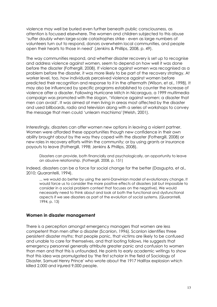violence may well be buried even further beneath public consciousness, as attention is focussed elsewhere. The women and children subjected to this abuse 'suffer doubly when large-scale catastrophes strike - even as large numbers of volunteers turn out to respond, donors overwhelm local communities, and people open their hearts to those in need' (Jenkins & Phillips, 2008, p. 49).

The way communities respond, and whether disaster recovery is set up to recognise and address violence against women, seem to depend on how well it was done before the disaster (Fothergill, 2008). If violence against women was recognised as a problem before the disaster, it was more likely to be part of the recovery strategy. At worker level, too, how individuals perceived violence against women before predicted their recognition and response to it in the aftermath (Wilson, et al., 1998). It may also be influenced by specific programs established to counter the increase of violence after a disaster. Following Hurricane Mitch in Nicaragua, a 1999 multimedia campaign was promoted with the slogan, 'Violence against women: a disaster that men can avoid'. It was aimed at men living in areas most affected by the disaster and used billboards, radio and television along with a series of workshops to convey the message that men could 'unlearn machismo'(Welsh, 2001).

Interestingly, disasters can offer women new options in leaving a violent partner. Women were afforded these opportunities though new confidence in their own ability brought about by the way they coped with the disaster (Fothergill, 2008) or new roles in recovery efforts within the community; or by using grants or insurance payouts to leave (Fothergill, 1998; Jenkins & Phillips, 2008).

Disasters can provide, both financially and psychologically, an opportunity to leave an abusive relationship. (Fothergill, 2008, p. 151)

Indeed, disasters can be a force for social change for the better (Dasgupta, et al., 2010; Quarantelli, 1994).

... we would do better by using the semi-Darwinian model of evolutionary change. It would force us to consider the more positive effects of disasters (all but impossible to consider in a social problem context that focuses on the negative). We would necessarily need to think about and look at both the functional and dysfunctional aspects if we see disasters as part of the evolution of social systems. (Quarantelli, 1994, p. 13)

#### Women in disaster management

There is a perception amongst emergency managers that women are less competent than men after a disaster (Scanlon, 1996). Scanlon identifies three persistent disaster myths: that people panic, that victims are likely to be confused and unable to care for themselves, and that looting follows. He suggests that emergency personnel generally attribute greater panic and confusion to women than men and that this is unfounded. He points to early academic writings to show that this idea was promulgated by 'the first scholar in the field of Sociology of Disaster, Samuel Henry Prince' who wrote about the 1917 Halifax explosion which killed 2,000 and injured 9,000 people.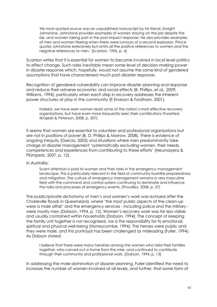'His most-quoted source was an unpublished manuscript by his friend, Dwight Johnstone. Johnstone provides examples of women staying on the job despite the risk, and women taking part in the post-impact response. He also provides examples of men and women fleeing when there were rumours of a second explosion. Prince quotes Johnstone extensively but omits all the positive references to women and the negative references to men.' (Scanlon, 1996, p. 4)

Scanlon writes that it is essential for women to become involved in local level politics to effect change. Such roles inevitably mean some level of decision-making power in disaster response which, hopefully, would not assume the same kind of gendered assumptions that have characterised much post-disaster response.

Recognition of gendered vulnerability can improve disaster planning and response and reduce their adverse economic and social effects (B. Phillips, et al., 2009; Williams, 1994), particularly when each step in recovery addresses the inherent power structures at play in the community (E Enarson & Fordham, 2001).

Indeed, we have seen women lead some of the nation's most effective recovery organizations, but have even more frequently seen their contributions thwarted. (Krajeski & Peterson, 2008, p. 207)

It seems that women are essential to volunteer and professional organisations but are not in positions of power (B. D. Phillips & Morrow, 2008). There is evidence of ongoing inequity (Garcia, 2005) and situations where men predominantly take charge of disaster management 'systematically excluding women, their needs, competences and experiences from contributing to these efforts' (Neumayera & Plümperb, 2007, p. 12).

In Australia:

Scant attention is paid to women and their roles in the emergency management landscape. This is particularly relevant in the field of community bushfire preparedness and mitigation. The culture of emergency management remains a very masculine field with the command and control system continuing to dominate and influence the roles and processes of emergency events. (Proudley, 2008, p. 37)

The public/private dichotomy of men's and women's work was echoed after the Charleville floods in Queensland, where 'the most public aspects of the clean-up were a male affair' and the emergency services - including police and the military were mostly men (Dobson, 1994, p. 12). Women's recovery work was far less visible and usually contained within households (Dobson, 1994). The concept of keeping the family unit together is not recognised, nor is the responsibility for its emotional, spiritual and physical well-being (Honeycombe, 1994). The heroes were public and they were male, and this portrayal has been challenged as misleading (Fuller, 1994). As Dobson stated:

I believe that there were many heroines among the women who held their families together, who carved out a home from the mire, and continued to contribute through their community and professional work. (Dobson, 1994, p. 13)

In addressing the male domination of disaster planning, Fuller identified the need to increase the number of women involved at all levels, and further, that some form of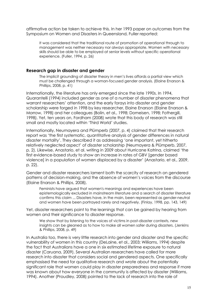affirmative action be taken to achieve this. In her 1993 paper on outcomes from the Symposium on Women and Disasters in Queensland, Fuller reported:

It was considered that the traditional route of promotion of operational through to management was neither necessary nor always appropriate. Women with necessary skills should be able to be employed at senior levels without specific operational experience. (Fuller, 1994, p. 26)

#### Research gap in disaster and gender

The implicit grounding of disaster theory in men's lives affords a partial view which must be challenged through a woman-focused gender analysis. (Elaine Enarson & Phillips, 2008, p. 41)

Internationally, the literature has only emerged since the late 1990s. In 1994, Quarantelli (1994) included gender as one of a number of disaster phenomena that warrant researchers' attention, and the early forays into disaster and gender scholarship were forged in 1998 by key researcher, Elaine Enarson (Elaine Enarson & Morrow, 1998) and her colleagues (Bolin, et al., 1998; Domeisen, 1998; Fothergill, 1998). Yet, ten years on, Fordham (2008) wrote that this body of research was still small and mostly located within 'Third World' studies.

Internationally, Neumayera and Plümperb (2007, p. 4) claimed that their research report was 'the first systematic, quantitative analysis of gender differences in natural disaster mortality'. They described it as addressing 'one important, yet hitherto relatively neglected aspect' of disaster scholarship (Neumayera & Plümperb, 2007, p. 2). Likewise, Anastario, et al. writing in 2009 about Hurricane Katrina, claimed 'the first evidence-based study to show an increase in rates of GBV [gender based violence] in a population of women displaced by a disaster' (Anastario, et al., 2009, p. 22).

Gender and disaster researchers lament both the scarcity of research on gendered patterns of decision-making, and the absence of women's voices from the discourse (Elaine Enarson & Phillips, 2008).

Feminists have argued that women's meanings and experiences have been epistemologically excluded in mainstream literature and a search of disaster literature confirms this claim ... Disasters have, in the main, been represented as gender-neutral and women have been portrayed rarely and negatively. (Finlay, 1998, pp. 143, 149)

Yet, disaster researchers point to the learnings that can be gained by hearing from women and their significance to disaster response.

We show that by listening to the voices of victims in post-disaster contexts, new insights can be gleaned as to how to make all women safer during disasters. (Jenkins & Phillips, 2008, p. 49)

In Australia too, there is very little research into gender and disaster and the specific vulnerability of women in this country (DeLaine, et al., 2003; Williams, 1994) despite the fact that Australians have a one in six estimated lifetime exposure to natural disaster (Caruana, 2009). Several Australian researchers have called for more research into disaster that considers social and gendered aspects. One specifically emphasised the need for qualitative research and wrote about the potentially significant role that women could play in disaster preparedness and response if more was known about how everyone in the community is affected by disaster (Williams, 1994). Another (Proudley, 2008) pointed to the lack of research into the role of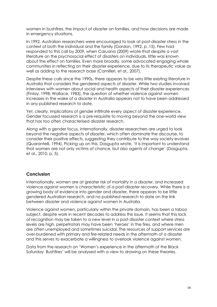women in bushfires, the impact of disaster on families, and how decisions are made in emergency situations.

In 1992, Australian researchers were encouraged to look at post-disaster stress in the context of both the individual and the family (Gordon, 1992, p. 15). Few had responded to this call by 2009, when Caruana (2009) wrote that despite a vast literature on the psychosocial effect of disasters on individuals, little was known about the effect on families. Even more broadly, some advocated engaging whole communities in reflecting on their disaster experience, due to its therapeutic value as well as adding to the research base (Camilleri, et al., 2007).

Despite these calls since the 1990s, there appears to be very little existing literature in Australia that considers the gendered aspects of disaster. While two studies involved interviews with women about social and health aspects of their disaster experiences (Finlay, 1998; Wallace, 1983), the question of whether violence against women increases in the wake of a disaster in Australia appears not to have been addressed in any published research to date.

Yet, clearly, implications of gender infiltrate every aspect of disaster experience. Gender focussed research is a pre-requisite to moving beyond the one-world view that has too often characterised disaster research.

Along with a gender focus, internationally, disaster researchers are urged to look beyond the negative aspects of disaster, which often dominate the discourse, to consider their positive effects, suggesting they contribute to the way society evolves (Quarantelli, 1994). Picking up on this, Dasgupta wrote, 'It is important to understand that women are not only victims of chance, but also agents of change' (Dasgupta, et al., 2010, p. 5).

#### Conclusion

Internationally, women are at greater risk of mortality in a disaster, and increased violence against women is characteristic of a post-disaster recovery. While there is a growing body of evidence into gender and disaster, there appears to be little gendered Australian research, and no published research to date on the link between disaster and violence against women in Australia.

Violence against women, particularly within the private domain, has been a taboo subject, despite work in recent decades to address this issue. It seems that this lack of recognition may be taken to a new level in a post-disaster context where stress levels are high, perpetrators may have been 'heroes' in the fires, and where men are often unemployed and sometimes suicidal. The resources of support services are over-burdened with primary and fire-related needs in the aftermath of a disaster and this serves to exacerbate a willingness to overlook violence against women.

Data from the research on 'Women's experience in the aftermath of the Black Saturday Bushfires' will be analysed with a view to drawing on these theories.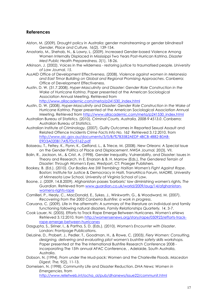#### References

- Alston, M. (2009). Drought policy in Australia: gender mainstreaming or gender blindness? Gender, Place and Culture, 16(2), 139-154.
- Anastario, M., Shehab, N., & Lawry, L. (2009). Increased Gender-based Violence Among Women Internally Displaced in Mississippi Two Years Post-Hurrican Katrina. Disaster Med Public Health Preparedness, 3(1), 18-26.
- Atkinson, J. (2002). Voices in the wilderness restoring justice to traumatised people. University of Law Journal, 15.
- AusAID Office of Development Effectiveness. (2008). Violence against women in Melanesia and East Timor Building on Global and Regional Promising Approaches. Canberra: Office of Development Effectiveness.
- Austin, D. W. (31.7.2008). Hyper-Masculinity and Disaster: Gender Role Construction in the Wake of Hurricane Katrina. Paper presented at the American Sociological Association Annual Meeting. Retrieved from http://www.allacademic.com/meta/p241530\_index.html
- Austin, D. W. (2008). Hyper-Masculinity and Disaster: Gender Role Construction in the Wake of Hurricane Katrina. Paper presented at the American Sociological Association Annual Meeting. Retrieved from http://www.allacademic.com/meta/p241530\_index.html
- Australian Bureau of Statistics. (2010). Criminal Courts, Australia, 2008-9 4513.0. Canberra: Australian Bureau of Statistics.
- Australian Institute of Criminology. (2007). Guilty Outcomes in Reported Sexual Assault and Related Offence Incidents Crime Facts Info No. 162 Retrieved 3.12.2010, from http://www.aic.gov.au/documents/3/5/B/%7B35B2AEDF-4BCB-4BB2-B0AB-E9D3A020B17A%7Dcfi162.pdf
- Boisseau, T., Feltey, K., Flynn, K., Gelfand, L., & Triece, M. (2008). New Orleans: A Special Issue on the Gender Politics of Place and Displacement. NWSA Journal, 20(3), VII.
- Bolin, R., Jackson, M., & Crist, A. (1998). Gender Inequality, Vulnerability, and Disaster: Issues in Theory and Research. In E. Enarson & B. H. Morrow (Eds.), The Gendered Terrain of Disaster: Through Women's Eyes. Westport, CT: Praeger Publishers.
- Bookey, B. (Ed.). (2010). Our Bodies Are Still Trembling: Haitian Women's Fight Against Rape. Boston: Institute for Justice & Democracy in Haiti, TransAfrica Forum, MADRE, University of Minnesota Law School, University of Virginia School of Law.
- Boone, J. (2009, 14.8.2009). Afghanistan passes 'barbaric' law diminishing women's rights. The Guardian. Retrieved from www.guardian.co.uk/world/2009/aug/14/afghanistanwomens-rights-rape
- Camilleri, P., Healy, C., MacDonald, E., Sykes, J., Winkworth, G., & Woodward, M. (2007). Recovering from the 2003 Canberra Bushfire: a work in progress.
- Caruana, C. (2009). Life in the aftermath: A summary of the literature on individual and family functioning following natural disasters. Family Relationships Quarterly, 14, 3-7.
- Cook Lauer, N. (2005). Efforts to Track Rape Emerge Between Hurricanes. Women's eNews Retrieved 3.12.2010, from http://womensenews.org/story/rape/050923/efforts-trackrape-emerge-between-hurricanes
- Dasgupta, S., Siriner, I., & Partha, S. D. (Eds.). (2010). Women's Encounter with Disaster. London: Frontpage Publications.
- DeLaine, D., Probert, J., Pedler, T., Goodman, H., & Rowe, C. (2003). Fiery Women: Consulting, designing, delivering and evaluating pilot women's bushfire safety skills workshops. Paper presented at the The International Bushfire Research Conference 2008 incorporating The 15th annual AFAC Conference, , Adelaide, South Australia, Australia.
- Dobson, N. (1994). From under the Mud-pack: Women and the Charleville Floods. Macedon Digest, The, 9(2), 11-13.

Domeisen, N. (1998). Community Life and Disaster Reduction. DHA News: Women in Emergencies, from http://www.reliefweb.int/ocha\_ol/pub/dhanews/issue22/communit.html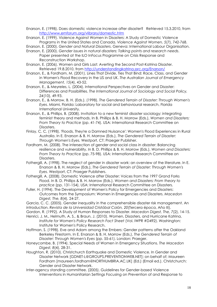Enarson, E. (1998). Does domestic violence increase after disaster? Retrieved 15.3.2010, from http://www.emforum.org/vlibrary/domestic.htm

Enarson, E. (1999). Violence Against Women in Disasters: A Study of Domestic Violence Programs in the United States and Canada. Violence Against Women, 5(7), 742-768.

Enarson, E. (2000). Gender and Natural Disasters. Geneva: International Labour Organisation.

- Enarson, E. (2000). Gender issues in natural disasters: Talking points and research needs. Paper presented at the ILO InFocus Programme on Crisis Response and Reconstruction Workshop.
- Enarson, E. (2006). Women and Girls Last: Averting the Second Post-Katrina Disaster. Retrieved 19.8.2010, from http://understandingkatrina.ssrc.org/Enarson/
- Enarson, E., & Fordham, M. (2001). Lines That Divide, Ties That Bind: Race, Class, and Gender in Women's Flood Recovery in the US and UK. The Australian Journal of Emergency Management, 15(4), 43-52.
- Enarson, E., & Meyreles, L. (2004). International Perspectives on Gender and Disaster: Differences and Possibilities. The International Journal of Sociology and Social Policy, 24(10), 49-93.
- Enarson, E., & Morrow, B. H. (Eds.). (1998). The Gendered Terrain of Disaster: Through Women's Eyes. Miami, Florida: Laboratory for social and behavioural research, Florida International University.
- Enarson, E., & Phillips, B. (2008). Invitation to a new feminist disaster sociology: integrating feminist theory and methods. In B. Phillips & B. H. Morrow (Eds.), Women and Disasters: From Theory to Practice (pp. 41-74). USA: International Research Committee on Disasters.
- Finlay, C. C. (1998). 'Floods, They're a Damned Nuisance': Women's Flood Experiences in Rural Australia. In E. Enarson & B. H. Morrow (Eds.), The Gendered Terrain of Disaster: Through Women's Eyes. Westport, CT: Praeger Publisher.
- Fordham, M. (2008). The intersection of gender and social class in disaster: Balancing resilience and vulnerability. In B. D. Phillips & B. H. Morrow (Eds.), Women and Disasters: From Theory to Practice (pp. 75-98). USA: International Research Committee on Disasters.
- Fothergill, A. (1998). The neglect of gender in disaster work: an overview of the literature. In E. Enarson & B. H. Morrow (Eds.), The Gendered Terrain of Disaster: Through Women's Eyes. Westport, CT: Praeger Publishers.

Fothergill, A. (2008). Domestic Violence after Disaster: Voices from the 1997 Grand Forks Flood. In B. D. Phillips & B. H. Morrow (Eds.), Women and Disasters: From theory to practice (pp. 131-154). USA: International Research Committee on Disasters.

Fuller, H. (1994). The Development of Women's Policy for Emergencies and Disasters: Outcomes from the Symposium: Women in Emergencies and Disasters. Macedon Digest, The, 8(4), 24-27.

Garcia, C. C. (2005). Gender inequality in the comprehensible disaster risk management. An introduction. Revista de la Universidad Cristóbal Colón, 20(Tercera época, Año III).

Gordon, R. (1992). A Study of Human Responses to Disaster. Macedon Digest, The, 7(2), 14-15. Henrici, J. M., Helmuth, A. S., & Braun, J. (2010). Women, Disasters, and Hurricane Katrina,

Institute for Women's Policy Research Fact Sheet (Vol. IWPR #D492). Washington: Institute for Women's Policy Research.

- Hoffman, S. (1998). Eve and Adam among the Embers: Gender patterns after the Oakland Berkeley Firestorm. In E. Enarson & B. H. Morrow (Eds.), The Gendered Terrain of Disaster: Through Women's Eyes (pp. 55-61). London: Praeger.
- Honeycombe, B. (1994). Special Needs of Women in Emergency Situations. The Macedon Digest, 8(4), 28-31.
- Houghton, R. (2010). Christchurch Earthquake and Domestic Violence. In Gender and Disaster Network [GDNET-L@GROUPS.PREVENTIONWEB.NET]; on behalf of; Maureen Fordham [maureen.fordham@NORTHUMBRIA.AC.UK] (Ed.) (Email ed.). Christchurch: Gender and Disaster Network.
- Inter-agency standing committee. (2005). Guidelines for Gender-based Violence Interventions in Humanitarian Settings Focusing on Prevention of and Response to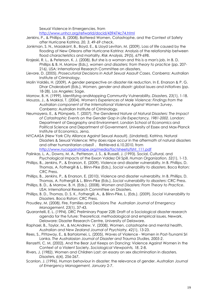Sexual Violence in Emergencies. from

http://www.unhcr.org/refworld/docid/439474c74.html

- Jenkins, P., & Phillips, B. (2008). Battered Women, Catastrophe, and the Context of Safety after Hurricane Katrina. 20, 3, 49-69 check.
- Jonkman, S. N., Maaskant, B., Boyd, E., & Lloyd Levitan, M. (2009). Loss of life caused by the flooding of New Orleans after Hurricane Katrina: Analysis of the relationship between flood characteristics and mortality. Risk Analysis, 29(5), 679-698.
- Krajeski, R. L., & Peterson, K. J. (2008). But she is a woman and this is a man's job. In B. D. Phillips & B. H. Morrow (Eds.), women and disasters: from theory to practice (pp. 207- 216). USA: International Research Committee on disasters.
- Lievore, D. (2005). Prosecutorial Decisions in Adult Sexual Assault Cases. Canberra: Australian Institute of Criminology.
- Molin Valdés, H. (2009). A gender perspective on disaster risk reduction. In E. Enarson & P. G. Dhar Chakrabarti (Eds.), Women, gender and disastr: global issues and initiatives (pp. 18-28). Los Angeles: Sage.
- Morrow, B. H. (1999). Identifying andMapping Community Vulnerability. Disasters, 23(1), 1-18.
- Mouzos, J., & Makkai, T. (2004). Women's Experiences of Male Violence: Findings from the Australian component of the International Violence Against Women Survey. Canberra: Australian Institute of Criminology.
- Neumayera, E., & Plümperb, T. (2007). The Gendered Nature of Natural Disasters: The Impact of Catastrophic Events on the Gender Gap in Life Expectancy, 1981-2002. London: Department of Geography and Environment, London School of Economics and Political Science and Department of Government, University of Essex and Max-Planck Institute of Economics, Jena.
- NYCAASA (New York City Alliance Against Sexual Assault). (Undated). Katrina, Natural Disasters & Sexual Violence: Why does rape occur in the aftermath of natural disasters and other humanitarian crises? . Retrieved 6.10.2010, from http://www.nycagainstrape.org/media/factsheets/fsht\_111.pdf
- Palinkas, L. A., Downs, M. A., Petterson, J. S., & Russell, J. (1993). Social, Cultural, and Psychological Impacts of the Exxon Valdez Oil Spill. Human Organization, 52(1), 1-13.
- Phillips, B., Jenkins, P., & Enarson, E. (2009). Violence and disaster vulnerabilty. In B. Phillips, D. Thomas, A. Fothergill & L. Blinn-Pike (Eds.), Social vulnerability to disasters. Boca Raton: CRC Press.
- Phillips, B., Jenkins, P., & Enarson, E. (2010). Violence and disaster vulnerabilty. In B. Phillips, D. Thomas, A. Fothergill & L. Blinn-Pike (Eds.), Social vulnerability to disasters: CRC Press.
- Phillips, B. D., & Morrow, B. H. (Eds.). (2008). Women and Disasters: From Theory to Practice. USA: International Research Committee on Disasters.
- Phillips, B. D., Thomas, D. S. K., Fothergill, A., & Blinn-Pike, L. (Eds.). (2009). Social Vulnerability to Disasters. Boca Raton: CRC Press.
- Proudley, M. (2008). Fire, Families and Decisions The Australian Journal of Emergency Management, 23(1), 37-43.
- Quarantelli, E. L. (1994). DRC Preliminary Paper 228: Draft of a Sociological disaster research agenda for the future: Theoretical, methodological and empirical issues. Newark, Delaware: Disaster Research Centre, University of Delaware.
- Raphael, B., Taylor, M., & McAndrew, V. (2008). Women, catastrophe and mental health. Australian and New Zealand Journal of Psychiatry, 42(1), 13-23.
- Rees, S., Pittaway, E., & Bartolomei, L. (2005). Waves of Violence Women in Post-Tsunami Sri Lanka. The Australasian Journal of Disaster and Trauma Studies, 2005-2.
- Renzetti, C. M. (2002). And the Bear Just Keeps on Dancing: Violence Against Women in the Context of a Violent Society. Sociological Viewpoints, 18, 2-8.
- Rivers, J. (1982). Women and Children Last: an essary on sex discrimination in disasters. Disasters, 6(4), 256-267.
- Scanlon, J. (1996). Human behaviour in disaster: the relevance of gender. Australian Journal of Emergency Management, January 2-7.